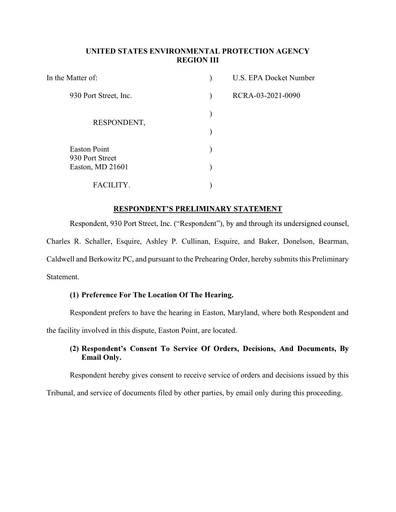## UNITED STATES ENVIRONMENTAL PROTECTION AGENCY REGION III

| In the Matter of:                   | U.S. EPA Docket Number |
|-------------------------------------|------------------------|
| 930 Port Street, Inc.               | RCRA-03-2021-0090      |
| RESPONDENT,                         |                        |
|                                     |                        |
| <b>Easton Point</b>                 |                        |
| 930 Port Street<br>Easton, MD 21601 |                        |
| FACI                                |                        |

### RESPONDENT'S PRELIMINARY STATEMENT

Respondent, 930 Port Street, Inc. ("Respondent"), by and through its undersigned counsel, Charles R. Schaller, Esquire, Ashley P. Cullinan, Esquire, and Baker, Donelson, Bearman, Caldwell and Berkowitz PC, and pursuant to the Prehearing Order, hereby submits this Preliminary Statement.

## (1) Preference For The Location Of The Hearing.

Respondent prefers to have the hearing in Easton, Maryland, where both Respondent and

the facility involved in this dispute, Easton Point, are located.

# (2) Respondent's Consent To Service Of Orders, Decisions, And Documents, By Email Only.

Respondent hereby gives consent to receive service of orders and decisions issued by this

Tribunal, and service of documents filed by other parties, by email only during this proceeding.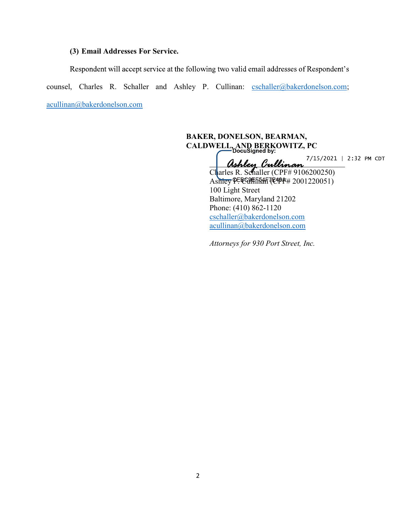#### (3) Email Addresses For Service.

Respondent will accept service at the following two valid email addresses of Respondent's counsel, Charles R. Schaller and Ashley P. Cullinan: cschaller@bakerdonelson.com; acullinan@bakerdonelson.com

> BAKER, DONELSON, BEARMAN, CALDWELL, AND BERKOWITZ, PC

 $\alpha$ shley Cullinan Charles R. Schaller (CPF# 9106200250) Ashiey P. EGYH FRAH (CPPF# 2001220051) 100 Light Street Baltimore, Maryland 21202 Phone: (410) 862-1120 cschaller@bakerdonelson.com acullinan@bakerdonelson.com

Attorneys for 930 Port Street, Inc.